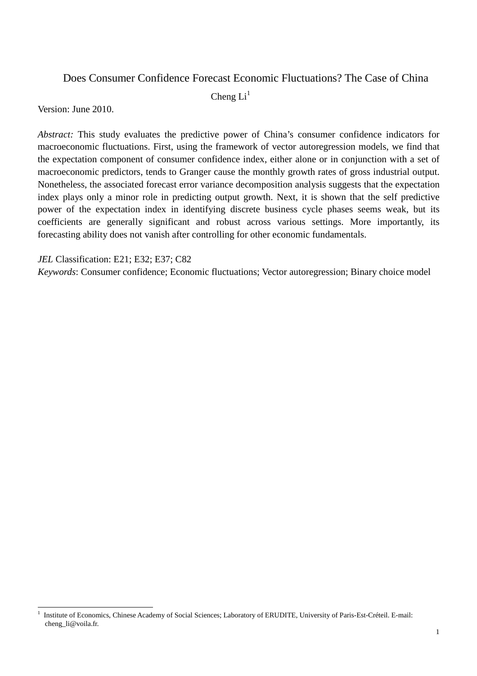## Does Consumer Confidence Forecast Economic Fluctuations? The Case of China

Cheng  $Li<sup>1</sup>$ 

Version: June 2010.

 $\overline{a}$ 

*Abstract:* This study evaluates the predictive power of China's consumer confidence indicators for macroeconomic fluctuations. First, using the framework of vector autoregression models, we find that the expectation component of consumer confidence index, either alone or in conjunction with a set of macroeconomic predictors, tends to Granger cause the monthly growth rates of gross industrial output. Nonetheless, the associated forecast error variance decomposition analysis suggests that the expectation index plays only a minor role in predicting output growth. Next, it is shown that the self predictive power of the expectation index in identifying discrete business cycle phases seems weak, but its coefficients are generally significant and robust across various settings. More importantly, its forecasting ability does not vanish after controlling for other economic fundamentals.

*JEL* Classification: E21; E32; E37; C82

*Keywords*: Consumer confidence; Economic fluctuations; Vector autoregression; Binary choice model

<sup>1</sup> Institute of Economics, Chinese Academy of Social Sciences; Laboratory of ERUDITE, University of Paris-Est-Créteil. E-mail: cheng\_li@voila.fr.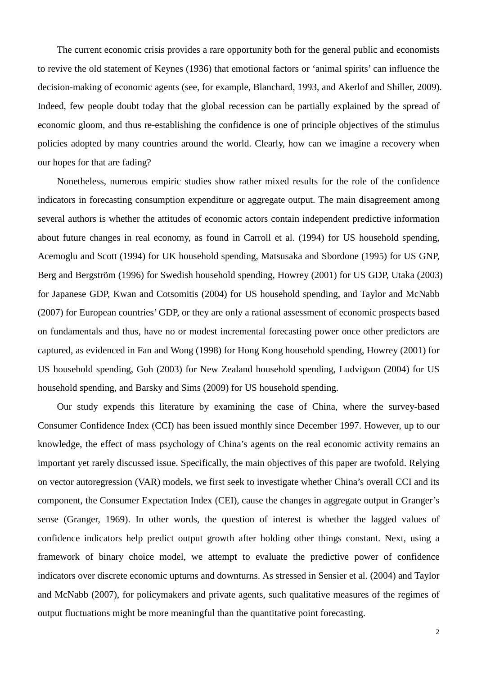The current economic crisis provides a rare opportunity both for the general public and economists to revive the old statement of Keynes (1936) that emotional factors or 'animal spirits' can influence the decision-making of economic agents (see, for example, Blanchard, 1993, and Akerlof and Shiller, 2009). Indeed, few people doubt today that the global recession can be partially explained by the spread of economic gloom, and thus re-establishing the confidence is one of principle objectives of the stimulus policies adopted by many countries around the world. Clearly, how can we imagine a recovery when our hopes for that are fading?

Nonetheless, numerous empiric studies show rather mixed results for the role of the confidence indicators in forecasting consumption expenditure or aggregate output. The main disagreement among several authors is whether the attitudes of economic actors contain independent predictive information about future changes in real economy, as found in Carroll et al. (1994) for US household spending, Acemoglu and Scott (1994) for UK household spending, Matsusaka and Sbordone (1995) for US GNP, Berg and Bergström (1996) for Swedish household spending, Howrey (2001) for US GDP, Utaka (2003) for Japanese GDP, Kwan and Cotsomitis (2004) for US household spending, and Taylor and McNabb (2007) for European countries' GDP, or they are only a rational assessment of economic prospects based on fundamentals and thus, have no or modest incremental forecasting power once other predictors are captured, as evidenced in Fan and Wong (1998) for Hong Kong household spending, Howrey (2001) for US household spending, Goh (2003) for New Zealand household spending, Ludvigson (2004) for US household spending, and Barsky and Sims (2009) for US household spending.

Our study expends this literature by examining the case of China, where the survey-based Consumer Confidence Index (CCI) has been issued monthly since December 1997. However, up to our knowledge, the effect of mass psychology of China's agents on the real economic activity remains an important yet rarely discussed issue. Specifically, the main objectives of this paper are twofold. Relying on vector autoregression (VAR) models, we first seek to investigate whether China's overall CCI and its component, the Consumer Expectation Index (CEI), cause the changes in aggregate output in Granger's sense (Granger, 1969). In other words, the question of interest is whether the lagged values of confidence indicators help predict output growth after holding other things constant. Next, using a framework of binary choice model, we attempt to evaluate the predictive power of confidence indicators over discrete economic upturns and downturns. As stressed in Sensier et al. (2004) and Taylor and McNabb (2007), for policymakers and private agents, such qualitative measures of the regimes of output fluctuations might be more meaningful than the quantitative point forecasting.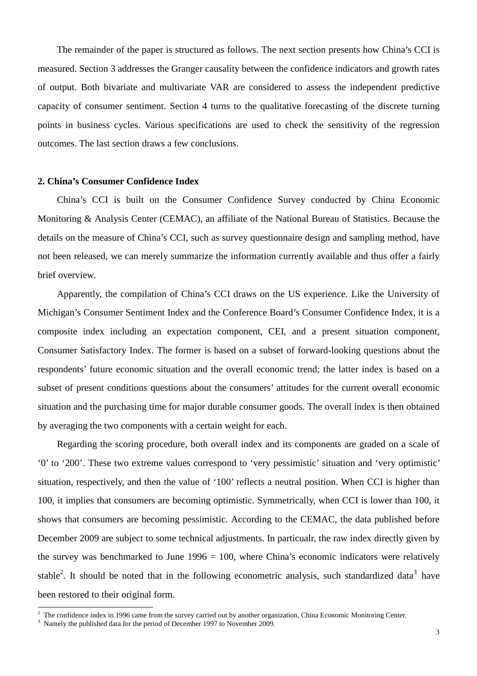The remainder of the paper is structured as follows. The next section presents how China's CCI is measured. Section 3 addresses the Granger causality between the confidence indicators and growth rates of output. Both bivariate and multivariate VAR are considered to assess the independent predictive capacity of consumer sentiment. Section 4 turns to the qualitative forecasting of the discrete turning points in business cycles. Various specifications are used to check the sensitivity of the regression outcomes. The last section draws a few conclusions.

#### **2. China's Consumer Confidence Index**

China's CCI is built on the Consumer Confidence Survey conducted by China Economic Monitoring & Analysis Center (CEMAC), an affiliate of the National Bureau of Statistics. Because the details on the measure of China's CCI, such as survey questionnaire design and sampling method, have not been released, we can merely summarize the information currently available and thus offer a fairly brief overview.

Apparently, the compilation of China's CCI draws on the US experience. Like the University of Michigan's Consumer Sentiment Index and the Conference Board's Consumer Confidence Index, it is a composite index including an expectation component, CEI, and a present situation component, Consumer Satisfactory Index. The former is based on a subset of forward-looking questions about the respondents' future economic situation and the overall economic trend; the latter index is based on a subset of present conditions questions about the consumers' attitudes for the current overall economic situation and the purchasing time for major durable consumer goods. The overall index is then obtained by averaging the two components with a certain weight for each.

Regarding the scoring procedure, both overall index and its components are graded on a scale of '0' to '200'. These two extreme values correspond to 'very pessimistic' situation and 'very optimistic' situation, respectively, and then the value of '100' reflects a neutral position. When CCI is higher than 100, it implies that consumers are becoming optimistic. Symmetrically, when CCI is lower than 100, it shows that consumers are becoming pessimistic. According to the CEMAC, the data published before December 2009 are subject to some technical adjustments. In particualr, the raw index directly given by the survey was benchmarked to June  $1996 = 100$ , where China's economic indicators were relatively stable<sup>2</sup>. It should be noted that in the following econometric analysis, such standardized data<sup>3</sup> have been restored to their original form.

<sup>&</sup>lt;sup>2</sup> The confidence index in 1996 came from the survey carried out by another organization, China Economic Monitoring Center.

<sup>&</sup>lt;sup>3</sup> Namely the published data for the period of December 1997 to November 2009.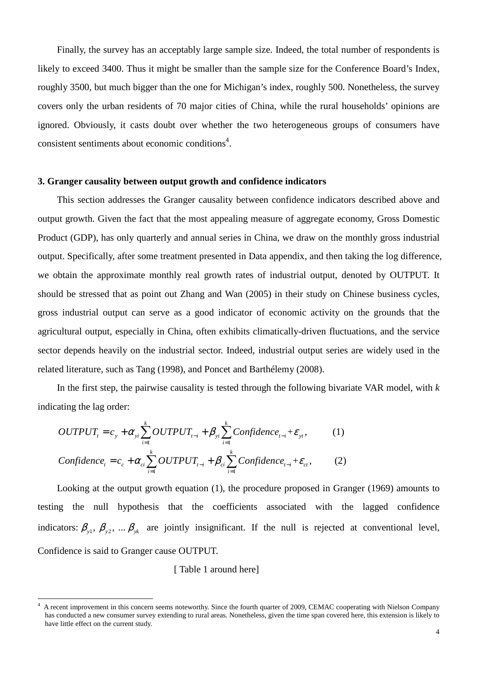Finally, the survey has an acceptably large sample size. Indeed, the total number of respondents is likely to exceed 3400. Thus it might be smaller than the sample size for the Conference Board's Index, roughly 3500, but much bigger than the one for Michigan's index, roughly 500. Nonetheless, the survey covers only the urban residents of 70 major cities of China, while the rural households' opinions are ignored. Obviously, it casts doubt over whether the two heterogeneous groups of consumers have consistent sentiments about economic conditions<sup>4</sup>.

#### **3. Granger causality between output growth and confidence indicators**

This section addresses the Granger causality between confidence indicators described above and output growth. Given the fact that the most appealing measure of aggregate economy, Gross Domestic Product (GDP), has only quarterly and annual series in China, we draw on the monthly gross industrial output. Specifically, after some treatment presented in Data appendix, and then taking the log difference, we obtain the approximate monthly real growth rates of industrial output, denoted by OUTPUT. It should be stressed that as point out Zhang and Wan (2005) in their study on Chinese business cycles, gross industrial output can serve as a good indicator of economic activity on the grounds that the agricultural output, especially in China, often exhibits climatically-driven fluctuations, and the service sector depends heavily on the industrial sector. Indeed, industrial output series are widely used in the related literature, such as Tang (1998), and Poncet and Barthélemy (2008).

In the first step, the pairwise causality is tested through the following bivariate VAR model, with *k* indicating the lag order:

$$
OUTPUTt = cy + \alpha_{yi} \sum_{i=1}^{k} OUTPUTt-i + \beta_{yi} \sum_{i=1}^{k} Confidencet-i + \varepsilon_{yi},
$$
 (1)  
Confidence<sub>t</sub> = c<sub>c</sub> + \alpha\_{ci} \sum\_{i=1}^{k} OUTPUT<sub>t-i</sub> + \beta\_{ci} \sum\_{i=1}^{k} Confidence<sub>t-i</sub> + \varepsilon\_{ci}, (2)

Looking at the output growth equation (1), the procedure proposed in Granger (1969) amounts to testing the null hypothesis that the coefficients associated with the lagged confidence indicators:  $\beta_{y1}$ ,  $\beta_{y2}$ , ...  $\beta_{yk}$  are jointly insignificant. If the null is rejected at conventional level, Confidence is said to Granger cause OUTPUT.

[ Table 1 around here]

 $\ddot{ }$ 

<sup>4</sup> A recent improvement in this concern seems noteworthy. Since the fourth quarter of 2009, CEMAC cooperating with Nielson Company has conducted a new consumer survey extending to rural areas. Nonetheless, given the time span covered here, this extension is likely to have little effect on the current study.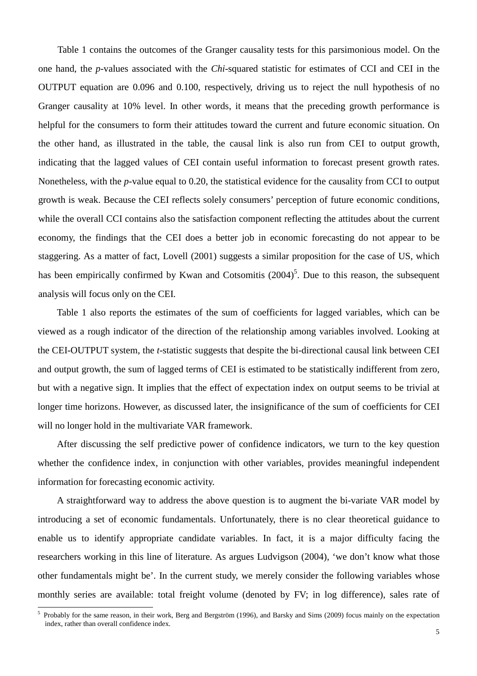Table 1 contains the outcomes of the Granger causality tests for this parsimonious model. On the one hand, the *p*-values associated with the *Chi*-squared statistic for estimates of CCI and CEI in the OUTPUT equation are 0.096 and 0.100, respectively, driving us to reject the null hypothesis of no Granger causality at 10% level. In other words, it means that the preceding growth performance is helpful for the consumers to form their attitudes toward the current and future economic situation. On the other hand, as illustrated in the table, the causal link is also run from CEI to output growth, indicating that the lagged values of CEI contain useful information to forecast present growth rates. Nonetheless, with the *p*-value equal to 0.20, the statistical evidence for the causality from CCI to output growth is weak. Because the CEI reflects solely consumers' perception of future economic conditions, while the overall CCI contains also the satisfaction component reflecting the attitudes about the current economy, the findings that the CEI does a better job in economic forecasting do not appear to be staggering. As a matter of fact, Lovell (2001) suggests a similar proposition for the case of US, which has been empirically confirmed by Kwan and Cotsomitis  $(2004)^5$ . Due to this reason, the subsequent analysis will focus only on the CEI.

Table 1 also reports the estimates of the sum of coefficients for lagged variables, which can be viewed as a rough indicator of the direction of the relationship among variables involved. Looking at the CEI-OUTPUT system, the *t*-statistic suggests that despite the bi-directional causal link between CEI and output growth, the sum of lagged terms of CEI is estimated to be statistically indifferent from zero, but with a negative sign. It implies that the effect of expectation index on output seems to be trivial at longer time horizons. However, as discussed later, the insignificance of the sum of coefficients for CEI will no longer hold in the multivariate VAR framework.

After discussing the self predictive power of confidence indicators, we turn to the key question whether the confidence index, in conjunction with other variables, provides meaningful independent information for forecasting economic activity.

A straightforward way to address the above question is to augment the bi-variate VAR model by introducing a set of economic fundamentals. Unfortunately, there is no clear theoretical guidance to enable us to identify appropriate candidate variables. In fact, it is a major difficulty facing the researchers working in this line of literature. As argues Ludvigson (2004), 'we don't know what those other fundamentals might be'. In the current study, we merely consider the following variables whose monthly series are available: total freight volume (denoted by FV; in log difference), sales rate of

 $\overline{a}$ 

<sup>5</sup> Probably for the same reason, in their work, Berg and Bergström (1996), and Barsky and Sims (2009) focus mainly on the expectation index, rather than overall confidence index.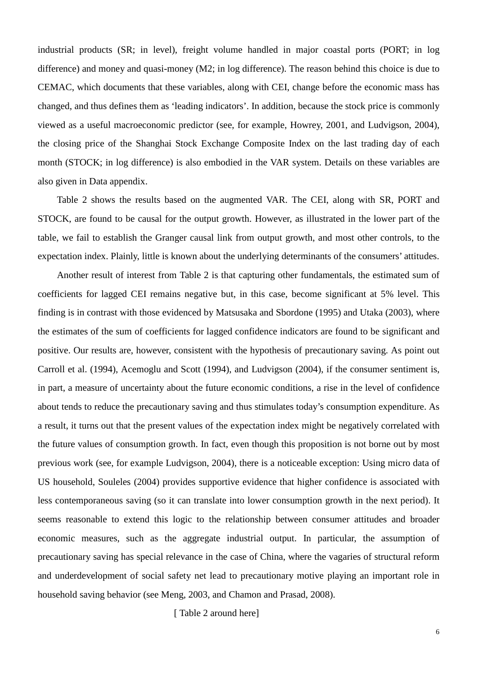industrial products (SR; in level), freight volume handled in major coastal ports (PORT; in log difference) and money and quasi-money (M2; in log difference). The reason behind this choice is due to CEMAC, which documents that these variables, along with CEI, change before the economic mass has changed, and thus defines them as 'leading indicators'. In addition, because the stock price is commonly viewed as a useful macroeconomic predictor (see, for example, Howrey, 2001, and Ludvigson, 2004), the closing price of the Shanghai Stock Exchange Composite Index on the last trading day of each month (STOCK; in log difference) is also embodied in the VAR system. Details on these variables are also given in Data appendix.

Table 2 shows the results based on the augmented VAR. The CEI, along with SR, PORT and STOCK, are found to be causal for the output growth. However, as illustrated in the lower part of the table, we fail to establish the Granger causal link from output growth, and most other controls, to the expectation index. Plainly, little is known about the underlying determinants of the consumers' attitudes.

Another result of interest from Table 2 is that capturing other fundamentals, the estimated sum of coefficients for lagged CEI remains negative but, in this case, become significant at 5% level. This finding is in contrast with those evidenced by Matsusaka and Sbordone (1995) and Utaka (2003), where the estimates of the sum of coefficients for lagged confidence indicators are found to be significant and positive. Our results are, however, consistent with the hypothesis of precautionary saving. As point out Carroll et al. (1994), Acemoglu and Scott (1994), and Ludvigson (2004), if the consumer sentiment is, in part, a measure of uncertainty about the future economic conditions, a rise in the level of confidence about tends to reduce the precautionary saving and thus stimulates today's consumption expenditure. As a result, it turns out that the present values of the expectation index might be negatively correlated with the future values of consumption growth. In fact, even though this proposition is not borne out by most previous work (see, for example Ludvigson, 2004), there is a noticeable exception: Using micro data of US household, Souleles (2004) provides supportive evidence that higher confidence is associated with less contemporaneous saving (so it can translate into lower consumption growth in the next period). It seems reasonable to extend this logic to the relationship between consumer attitudes and broader economic measures, such as the aggregate industrial output. In particular, the assumption of precautionary saving has special relevance in the case of China, where the vagaries of structural reform and underdevelopment of social safety net lead to precautionary motive playing an important role in household saving behavior (see Meng, 2003, and Chamon and Prasad, 2008).

[ Table 2 around here]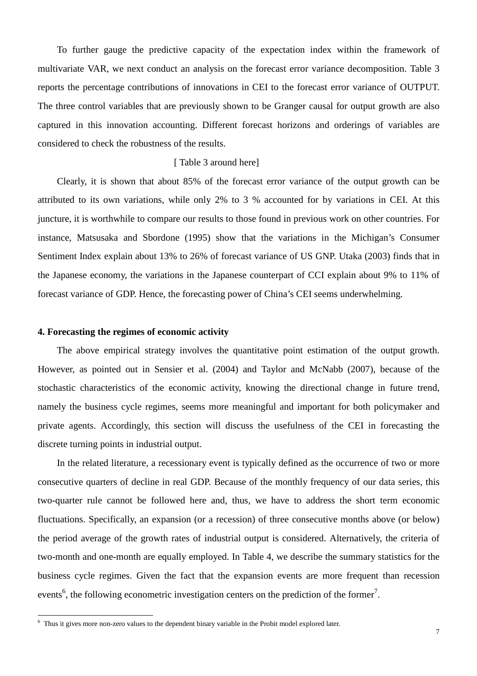To further gauge the predictive capacity of the expectation index within the framework of multivariate VAR, we next conduct an analysis on the forecast error variance decomposition. Table 3 reports the percentage contributions of innovations in CEI to the forecast error variance of OUTPUT. The three control variables that are previously shown to be Granger causal for output growth are also captured in this innovation accounting. Different forecast horizons and orderings of variables are considered to check the robustness of the results.

#### [ Table 3 around here]

Clearly, it is shown that about 85% of the forecast error variance of the output growth can be attributed to its own variations, while only 2% to 3 % accounted for by variations in CEI. At this juncture, it is worthwhile to compare our results to those found in previous work on other countries. For instance, Matsusaka and Sbordone (1995) show that the variations in the Michigan's Consumer Sentiment Index explain about 13% to 26% of forecast variance of US GNP. Utaka (2003) finds that in the Japanese economy, the variations in the Japanese counterpart of CCI explain about 9% to 11% of forecast variance of GDP. Hence, the forecasting power of China's CEI seems underwhelming.

#### **4. Forecasting the regimes of economic activity**

 $\ddot{ }$ 

The above empirical strategy involves the quantitative point estimation of the output growth. However, as pointed out in Sensier et al. (2004) and Taylor and McNabb (2007), because of the stochastic characteristics of the economic activity, knowing the directional change in future trend, namely the business cycle regimes, seems more meaningful and important for both policymaker and private agents. Accordingly, this section will discuss the usefulness of the CEI in forecasting the discrete turning points in industrial output.

In the related literature, a recessionary event is typically defined as the occurrence of two or more consecutive quarters of decline in real GDP. Because of the monthly frequency of our data series, this two-quarter rule cannot be followed here and, thus, we have to address the short term economic fluctuations. Specifically, an expansion (or a recession) of three consecutive months above (or below) the period average of the growth rates of industrial output is considered. Alternatively, the criteria of two-month and one-month are equally employed. In Table 4, we describe the summary statistics for the business cycle regimes. Given the fact that the expansion events are more frequent than recession events<sup>6</sup>, the following econometric investigation centers on the prediction of the former<sup>7</sup>.

<sup>&</sup>lt;sup>6</sup> Thus it gives more non-zero values to the dependent binary variable in the Probit model explored later.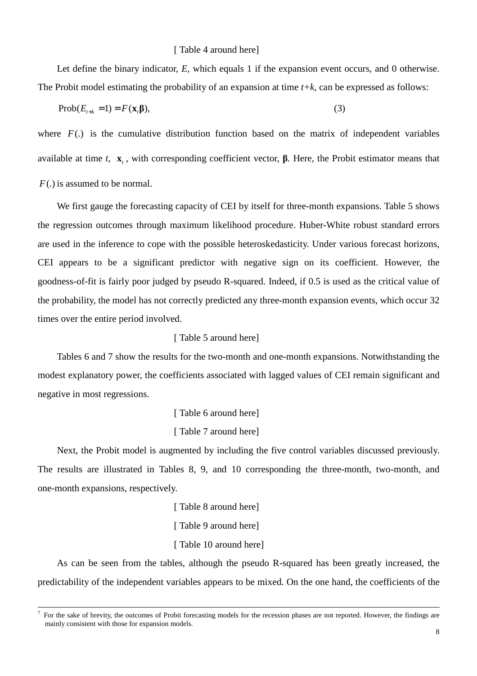#### [ Table 4 around here]

Let define the binary indicator, *E*, which equals 1 if the expansion event occurs, and 0 otherwise. The Probit model estimating the probability of an expansion at time  $t+k$ , can be expressed as follows:

$$
\text{Prob}(E_{t+k} = 1) = F(\mathbf{x}_t \mathbf{\beta}),\tag{3}
$$

where  $F(.)$  is the cumulative distribution function based on the matrix of independent variables available at time *t*,  $\mathbf{x}_t$ , with corresponding coefficient vector,  $\boldsymbol{\beta}$ . Here, the Probit estimator means that *F*(.) is assumed to be normal.

We first gauge the forecasting capacity of CEI by itself for three-month expansions. Table 5 shows the regression outcomes through maximum likelihood procedure. Huber-White robust standard errors are used in the inference to cope with the possible heteroskedasticity. Under various forecast horizons, CEI appears to be a significant predictor with negative sign on its coefficient. However, the goodness-of-fit is fairly poor judged by pseudo R-squared. Indeed, if 0.5 is used as the critical value of the probability, the model has not correctly predicted any three-month expansion events, which occur 32 times over the entire period involved.

#### [ Table 5 around here]

Tables 6 and 7 show the results for the two-month and one-month expansions. Notwithstanding the modest explanatory power, the coefficients associated with lagged values of CEI remain significant and negative in most regressions.

> [ Table 6 around here] [ Table 7 around here]

Next, the Probit model is augmented by including the five control variables discussed previously. The results are illustrated in Tables 8, 9, and 10 corresponding the three-month, two-month, and one-month expansions, respectively.

> [ Table 8 around here] [ Table 9 around here] [Table 10 around here]

 $\overline{a}$ 

As can be seen from the tables, although the pseudo R-squared has been greatly increased, the predictability of the independent variables appears to be mixed. On the one hand, the coefficients of the

<sup>7</sup> For the sake of brevity, the outcomes of Probit forecasting models for the recession phases are not reported. However, the findings are mainly consistent with those for expansion models.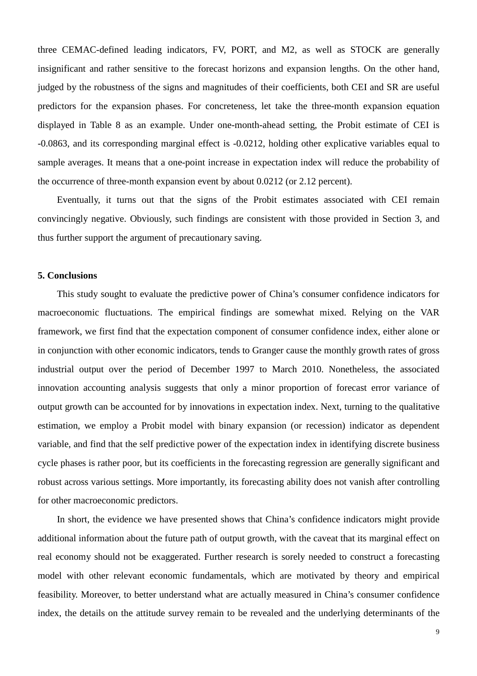three CEMAC-defined leading indicators, FV, PORT, and M2, as well as STOCK are generally insignificant and rather sensitive to the forecast horizons and expansion lengths. On the other hand, judged by the robustness of the signs and magnitudes of their coefficients, both CEI and SR are useful predictors for the expansion phases. For concreteness, let take the three-month expansion equation displayed in Table 8 as an example. Under one-month-ahead setting, the Probit estimate of CEI is -0.0863, and its corresponding marginal effect is -0.0212, holding other explicative variables equal to sample averages. It means that a one-point increase in expectation index will reduce the probability of the occurrence of three-month expansion event by about 0.0212 (or 2.12 percent).

Eventually, it turns out that the signs of the Probit estimates associated with CEI remain convincingly negative. Obviously, such findings are consistent with those provided in Section 3, and thus further support the argument of precautionary saving.

#### **5. Conclusions**

This study sought to evaluate the predictive power of China's consumer confidence indicators for macroeconomic fluctuations. The empirical findings are somewhat mixed. Relying on the VAR framework, we first find that the expectation component of consumer confidence index, either alone or in conjunction with other economic indicators, tends to Granger cause the monthly growth rates of gross industrial output over the period of December 1997 to March 2010. Nonetheless, the associated innovation accounting analysis suggests that only a minor proportion of forecast error variance of output growth can be accounted for by innovations in expectation index. Next, turning to the qualitative estimation, we employ a Probit model with binary expansion (or recession) indicator as dependent variable, and find that the self predictive power of the expectation index in identifying discrete business cycle phases is rather poor, but its coefficients in the forecasting regression are generally significant and robust across various settings. More importantly, its forecasting ability does not vanish after controlling for other macroeconomic predictors.

In short, the evidence we have presented shows that China's confidence indicators might provide additional information about the future path of output growth, with the caveat that its marginal effect on real economy should not be exaggerated. Further research is sorely needed to construct a forecasting model with other relevant economic fundamentals, which are motivated by theory and empirical feasibility. Moreover, to better understand what are actually measured in China's consumer confidence index, the details on the attitude survey remain to be revealed and the underlying determinants of the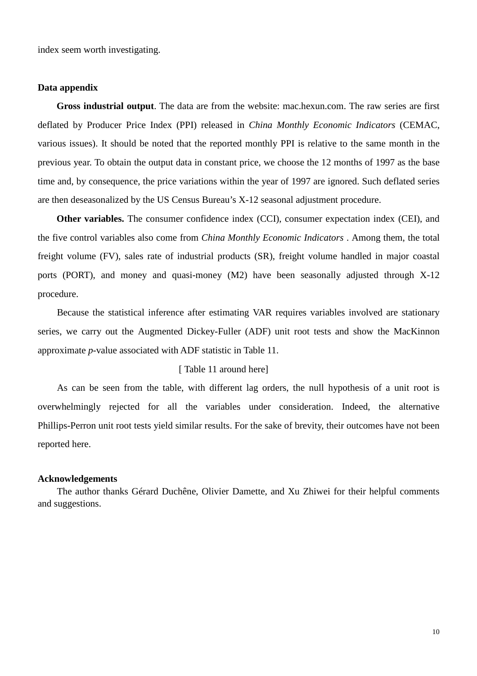index seem worth investigating.

#### **Data appendix**

**Gross industrial output**. The data are from the website: mac.hexun.com. The raw series are first deflated by Producer Price Index (PPI) released in *China Monthly Economic Indicators* (CEMAC, various issues). It should be noted that the reported monthly PPI is relative to the same month in the previous year. To obtain the output data in constant price, we choose the 12 months of 1997 as the base time and, by consequence, the price variations within the year of 1997 are ignored. Such deflated series are then deseasonalized by the US Census Bureau's X-12 seasonal adjustment procedure.

**Other variables.** The consumer confidence index (CCI), consumer expectation index (CEI), and the five control variables also come from *China Monthly Economic Indicators* . Among them, the total freight volume (FV), sales rate of industrial products (SR), freight volume handled in major coastal ports (PORT), and money and quasi-money (M2) have been seasonally adjusted through X-12 procedure.

Because the statistical inference after estimating VAR requires variables involved are stationary series, we carry out the Augmented Dickey-Fuller (ADF) unit root tests and show the MacKinnon approximate *p*-value associated with ADF statistic in Table 11.

#### [Table 11 around here]

As can be seen from the table, with different lag orders, the null hypothesis of a unit root is overwhelmingly rejected for all the variables under consideration. Indeed, the alternative Phillips-Perron unit root tests yield similar results. For the sake of brevity, their outcomes have not been reported here.

#### **Acknowledgements**

The author thanks Gérard Duchêne, Olivier Damette, and Xu Zhiwei for their helpful comments and suggestions.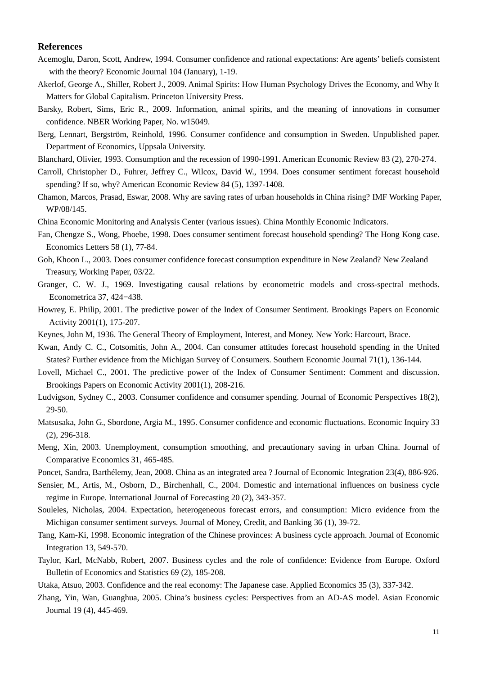#### **References**

- Acemoglu, Daron, Scott, Andrew, 1994. Consumer confidence and rational expectations: Are agents' beliefs consistent with the theory? Economic Journal 104 (January), 1-19.
- Akerlof, George A., Shiller, Robert J., 2009. Animal Spirits: How Human Psychology Drives the Economy, and Why It Matters for Global Capitalism. Princeton University Press.
- Barsky, Robert, Sims, Eric R., 2009. Information, animal spirits, and the meaning of innovations in consumer confidence. NBER Working Paper, No. w15049.
- Berg, Lennart, Bergström, Reinhold, 1996. Consumer confidence and consumption in Sweden. Unpublished paper. Department of Economics, Uppsala University.
- Blanchard, Olivier, 1993. Consumption and the recession of 1990-1991. American Economic Review 83 (2), 270-274.
- Carroll, Christopher D., Fuhrer, Jeffrey C., Wilcox, David W., 1994. Does consumer sentiment forecast household spending? If so, why? American Economic Review 84 (5), 1397-1408.
- Chamon, Marcos, Prasad, Eswar, 2008. Why are saving rates of urban households in China rising? IMF Working Paper, WP/08/145.
- China Economic Monitoring and Analysis Center (various issues). China Monthly Economic Indicators.
- Fan, Chengze S., Wong, Phoebe, 1998. Does consumer sentiment forecast household spending? The Hong Kong case. Economics Letters 58 (1), 77-84.
- Goh, Khoon L., 2003. Does consumer confidence forecast consumption expenditure in New Zealand? New Zealand Treasury, Working Paper, 03/22.
- Granger, C. W. J., 1969. Investigating causal relations by econometric models and cross-spectral methods. Econometrica 37, 424−438.
- Howrey, E. Philip, 2001. The predictive power of the Index of Consumer Sentiment. Brookings Papers on Economic Activity 2001(1), 175-207.
- Keynes, John M, 1936. The General Theory of Employment, Interest, and Money. New York: Harcourt, Brace.
- Kwan, Andy C. C., Cotsomitis, John A., 2004. Can consumer attitudes forecast household spending in the United States? Further evidence from the Michigan Survey of Consumers. Southern Economic Journal 71(1), 136-144.
- Lovell, Michael C., 2001. The predictive power of the Index of Consumer Sentiment: Comment and discussion. Brookings Papers on Economic Activity 2001(1), 208-216.
- Ludvigson, Sydney C., 2003. Consumer confidence and consumer spending. Journal of Economic Perspectives 18(2), 29-50.
- Matsusaka, John G., Sbordone, Argia M., 1995. Consumer confidence and economic fluctuations. Economic Inquiry 33 (2), 296-318.
- Meng, Xin, 2003. Unemployment, consumption smoothing, and precautionary saving in urban China. Journal of Comparative Economics 31, 465-485.
- Poncet, Sandra, Barthélemy, Jean, 2008. China as an integrated area ? Journal of Economic Integration 23(4), 886-926.
- Sensier, M., Artis, M., Osborn, D., Birchenhall, C., 2004. Domestic and international influences on business cycle regime in Europe. International Journal of Forecasting 20 (2), 343-357.
- Souleles, Nicholas, 2004. Expectation, heterogeneous forecast errors, and consumption: Micro evidence from the Michigan consumer sentiment surveys. Journal of Money, Credit, and Banking 36 (1), 39-72.
- Tang, Kam-Ki, 1998. Economic integration of the Chinese provinces: A business cycle approach. Journal of Economic Integration 13, 549-570.
- Taylor, Karl, McNabb, Robert, 2007. Business cycles and the role of confidence: Evidence from Europe. Oxford Bulletin of Economics and Statistics 69 (2), 185-208.
- Utaka, Atsuo, 2003. Confidence and the real economy: The Japanese case. Applied Economics 35 (3), 337-342.
- Zhang, Yin, Wan, Guanghua, 2005. China's business cycles: Perspectives from an AD-AS model. Asian Economic Journal 19 (4), 445-469.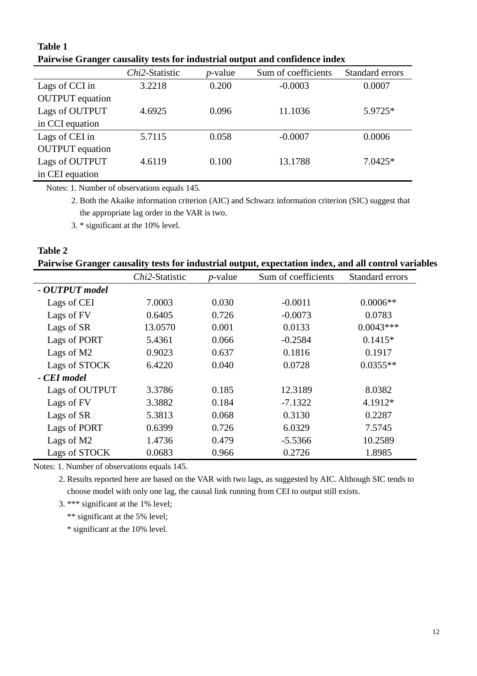|                        |                |            | T an who Granger causancy tests for mitagerial output and commentee matrix |                 |
|------------------------|----------------|------------|----------------------------------------------------------------------------|-----------------|
|                        | Chi2-Statistic | $p$ -value | Sum of coefficients                                                        | Standard errors |
| Lags of CCI in         | 3.2218         | 0.200      | $-0.0003$                                                                  | 0.0007          |
| <b>OUTPUT</b> equation |                |            |                                                                            |                 |
| Lags of OUTPUT         | 4.6925         | 0.096      | 11.1036                                                                    | 5.9725*         |
| in CCI equation        |                |            |                                                                            |                 |
| Lags of CEI in         | 5.7115         | 0.058      | $-0.0007$                                                                  | 0.0006          |
| <b>OUTPUT</b> equation |                |            |                                                                            |                 |
| Lags of OUTPUT         | 4.6119         | 0.100      | 13.1788                                                                    | $7.0425*$       |
| in CEI equation        |                |            |                                                                            |                 |

### **Table 1 Pairwise Granger causality tests for industrial output and confidence index**

Notes: 1. Number of observations equals 145.

2. Both the Akaike information criterion (AIC) and Schwarz information criterion (SIC) suggest that the appropriate lag order in the VAR is two.

3. \* significant at the 10% level.

# **Table 2 Pairwise Granger causality tests for industrial output, expectation index, and all control variables**

|                | Chi2-Statistic | $p$ -value | Sum of coefficients | Standard errors |
|----------------|----------------|------------|---------------------|-----------------|
| - OUTPUT model |                |            |                     |                 |
| Lags of CEI    | 7.0003         | 0.030      | $-0.0011$           | $0.0006**$      |
| Lags of FV     | 0.6405         | 0.726      | $-0.0073$           | 0.0783          |
| Lags of SR     | 13.0570        | 0.001      | 0.0133              | $0.0043***$     |
| Lags of PORT   | 5.4361         | 0.066      | $-0.2584$           | $0.1415*$       |
| Lags of M2     | 0.9023         | 0.637      | 0.1816              | 0.1917          |
| Lags of STOCK  | 6.4220         | 0.040      | 0.0728              | $0.0355**$      |
| - CEI model    |                |            |                     |                 |
| Lags of OUTPUT | 3.3786         | 0.185      | 12.3189             | 8.0382          |
| Lags of FV     | 3.3882         | 0.184      | $-7.1322$           | 4.1912*         |
| Lags of SR     | 5.3813         | 0.068      | 0.3130              | 0.2287          |
| Lags of PORT   | 0.6399         | 0.726      | 6.0329              | 7.5745          |
| Lags of M2     | 1.4736         | 0.479      | $-5.5366$           | 10.2589         |
| Lags of STOCK  | 0.0683         | 0.966      | 0.2726              | 1.8985          |

Notes: 1. Number of observations equals 145.

2. Results reported here are based on the VAR with two lags, as suggested by AIC. Although SIC tends to choose model with only one lag, the causal link running from CEI to output still exists.

3. \*\*\* significant at the 1% level;

\*\* significant at the 5% level;

\* significant at the 10% level.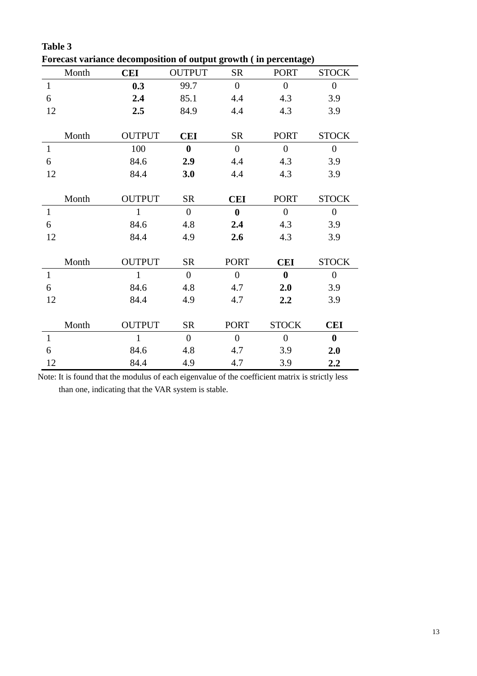|                  | Month | orcease variance accomposition or output growth ( in percentage)<br><b>CEI</b> | <b>OUTPUT</b>    | <b>SR</b>        | <b>PORT</b>      | <b>STOCK</b>   |
|------------------|-------|--------------------------------------------------------------------------------|------------------|------------------|------------------|----------------|
| $\mathbf{1}$     |       | 0.3                                                                            | 99.7             | $\overline{0}$   | $\overline{0}$   | $\overline{0}$ |
| $6\,$            |       | 2.4                                                                            | 85.1             | 4.4              | 4.3              | 3.9            |
| 12               |       | 2.5                                                                            | 84.9             | 4.4              | 4.3              | 3.9            |
|                  |       |                                                                                |                  |                  |                  |                |
|                  | Month | <b>OUTPUT</b>                                                                  | <b>CEI</b>       | <b>SR</b>        | <b>PORT</b>      | <b>STOCK</b>   |
| $\mathbf{1}$     |       | 100                                                                            | $\boldsymbol{0}$ | $\overline{0}$   | $\overline{0}$   | $\Omega$       |
| 6                |       | 84.6                                                                           | 2.9              | 4.4              | 4.3              | 3.9            |
| 12               |       | 84.4                                                                           | 3.0              | 4.4              | 4.3              | 3.9            |
|                  |       |                                                                                |                  |                  |                  |                |
|                  | Month | <b>OUTPUT</b>                                                                  | <b>SR</b>        | <b>CEI</b>       | <b>PORT</b>      | <b>STOCK</b>   |
| $\mathbf{1}$     |       | $\mathbf{1}$                                                                   | $\overline{0}$   | $\boldsymbol{0}$ | $\boldsymbol{0}$ | $\overline{0}$ |
| $6\,$            |       | 84.6                                                                           | 4.8              | 2.4              | 4.3              | 3.9            |
| 12               |       | 84.4                                                                           | 4.9              | 2.6              | 4.3              | 3.9            |
|                  |       |                                                                                |                  |                  |                  |                |
|                  | Month | <b>OUTPUT</b>                                                                  | <b>SR</b>        | <b>PORT</b>      | <b>CEI</b>       | <b>STOCK</b>   |
| $\mathbf{1}$     |       | $\mathbf{1}$                                                                   | $\boldsymbol{0}$ | $\boldsymbol{0}$ | $\bf{0}$         | $\overline{0}$ |
| $6\,$            |       | 84.6                                                                           | 4.8              | 4.7              | 2.0              | 3.9            |
| 12               |       | 84.4                                                                           | 4.9              | 4.7              | 2.2              | 3.9            |
|                  |       |                                                                                |                  |                  |                  |                |
|                  | Month | <b>OUTPUT</b>                                                                  | <b>SR</b>        | <b>PORT</b>      | <b>STOCK</b>     | <b>CEI</b>     |
| $\mathbf{1}$     |       | $\mathbf{1}$                                                                   | $\overline{0}$   | $\overline{0}$   | $\overline{0}$   | $\bf{0}$       |
| $\boldsymbol{6}$ |       | 84.6                                                                           | 4.8              | 4.7              | 3.9              | 2.0            |
| 12               |       | 84.4                                                                           | 4.9              | 4.7              | 3.9              | 2.2            |

**Table 3 Forecast variance decomposition of output growth ( in percentage)** 

Note: It is found that the modulus of each eigenvalue of the coefficient matrix is strictly less than one, indicating that the VAR system is stable.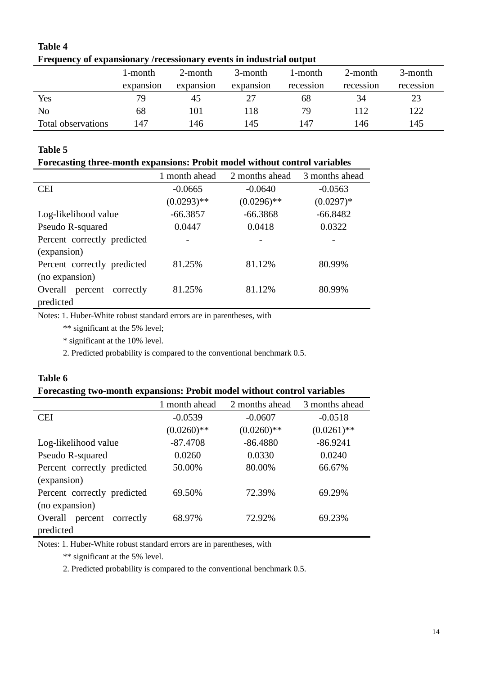|                    | ттерценсу от слраняющиту десевяющиту суспея на писиятнитоперис |           |           |           |           |           |  |  |  |
|--------------------|----------------------------------------------------------------|-----------|-----------|-----------|-----------|-----------|--|--|--|
|                    | 1-month                                                        | 2-month   | 3-month   | 1-month   | 2-month   | 3-month   |  |  |  |
|                    | expansion                                                      | expansion | expansion | recession | recession | recession |  |  |  |
| Yes                | 79.                                                            | 45        |           | 68        | 34        | 23        |  |  |  |
| N <sub>o</sub>     | 68                                                             | 101       | 118       | 79        | 112       | 122       |  |  |  |
| Total observations | 147                                                            | 146       | 145       | 147       | 146       | 145       |  |  |  |

### **Table 4 Frequency of expansionary /recessionary events in industrial output**

## **Table 5**

### **Forecasting three-month expansions: Probit model without control variables**

|                                 | 1 month ahead | 2 months ahead | 3 months ahead |
|---------------------------------|---------------|----------------|----------------|
| <b>CEI</b>                      | $-0.0665$     | $-0.0640$      | $-0.0563$      |
|                                 | $(0.0293)$ ** | $(0.0296)$ **  | $(0.0297)*$    |
| Log-likelihood value            | $-66.3857$    | $-66.3868$     | $-66.8482$     |
| Pseudo R-squared                | 0.0447        | 0.0418         | 0.0322         |
| Percent correctly predicted     |               |                |                |
| (expansion)                     |               |                |                |
| Percent correctly predicted     | 81.25%        | 81.12%         | 80.99%         |
| (no expansion)                  |               |                |                |
| Overall<br>percent<br>correctly | 81.25%        | 81.12%         | 80.99%         |
| predicted                       |               |                |                |

Notes: 1. Huber-White robust standard errors are in parentheses, with

\*\* significant at the 5% level;

\* significant at the 10% level.

2. Predicted probability is compared to the conventional benchmark 0.5.

### **Table 6**

### **Forecasting two-month expansions: Probit model without control variables**

|                                 | 1 month ahead | 2 months ahead | 3 months ahead |
|---------------------------------|---------------|----------------|----------------|
| <b>CEI</b>                      | $-0.0539$     | $-0.0607$      | $-0.0518$      |
|                                 | $(0.0260)$ ** | $(0.0260)**$   | $(0.0261)$ **  |
| Log-likelihood value            | $-87.4708$    | $-86.4880$     | $-86.9241$     |
| Pseudo R-squared                | 0.0260        | 0.0330         | 0.0240         |
| Percent correctly predicted     | 50.00%        | 80.00%         | 66.67%         |
| (expansion)                     |               |                |                |
| Percent correctly predicted     | 69.50%        | 72.39%         | 69.29%         |
| (no expansion)                  |               |                |                |
| Overall<br>percent<br>correctly | 68.97%        | 72.92%         | 69.23%         |
| predicted                       |               |                |                |

Notes: 1. Huber-White robust standard errors are in parentheses, with

\*\* significant at the 5% level.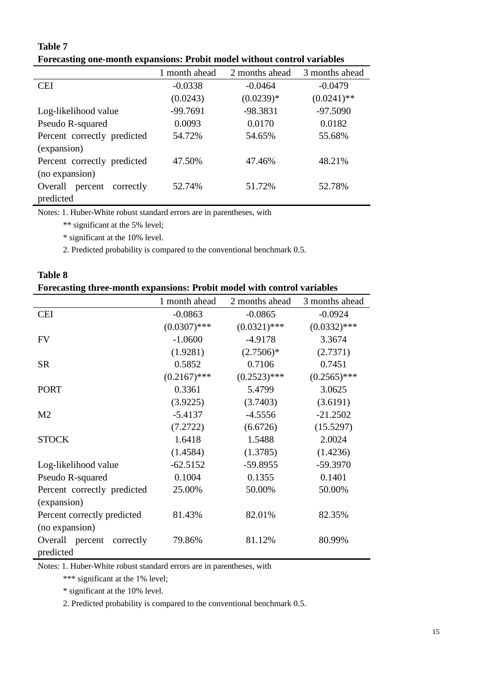# **Table 7 Forecasting one-month expansions: Probit model without control variables**

|                              | 1 month ahead | 2 months ahead | 3 months ahead |
|------------------------------|---------------|----------------|----------------|
| <b>CEI</b>                   | $-0.0338$     | $-0.0464$      | $-0.0479$      |
|                              | (0.0243)      | $(0.0239)*$    | $(0.0241)$ **  |
| Log-likelihood value         | $-99.7691$    | -98.3831       | $-97.5090$     |
| Pseudo R-squared             | 0.0093        | 0.0170         | 0.0182         |
| Percent correctly predicted  | 54.72%        | 54.65%         | 55.68%         |
| (expansion)                  |               |                |                |
| Percent correctly predicted  | 47.50%        | 47.46%         | 48.21%         |
| (no expansion)               |               |                |                |
| Overall percent<br>correctly | 52.74%        | 51.72%         | 52.78%         |
| predicted                    |               |                |                |

Notes: 1. Huber-White robust standard errors are in parentheses, with

\*\* significant at the 5% level;

\* significant at the 10% level.

2. Predicted probability is compared to the conventional benchmark 0.5.

| Forecasting three-month expansions: Probit model with control variables |                |                |                |  |
|-------------------------------------------------------------------------|----------------|----------------|----------------|--|
|                                                                         | 1 month ahead  | 2 months ahead | 3 months ahead |  |
| <b>CEI</b>                                                              | $-0.0863$      | $-0.0865$      | $-0.0924$      |  |
|                                                                         | $(0.0307)$ *** | $(0.0321)$ *** | $(0.0332)$ *** |  |
| <b>FV</b>                                                               | $-1.0600$      | $-4.9178$      | 3.3674         |  |
|                                                                         | (1.9281)       | $(2.7506)^*$   | (2.7371)       |  |
| <b>SR</b>                                                               | 0.5852         | 0.7106         | 0.7451         |  |
|                                                                         | $(0.2167)$ *** | $(0.2523)$ *** | $(0.2565)$ *** |  |
| <b>PORT</b>                                                             | 0.3361         | 5.4799         | 3.0625         |  |
|                                                                         | (3.9225)       | (3.7403)       | (3.6191)       |  |
| M <sub>2</sub>                                                          | $-5.4137$      | $-4.5556$      | $-21.2502$     |  |
|                                                                         | (7.2722)       | (6.6726)       | (15.5297)      |  |
| <b>STOCK</b>                                                            | 1.6418         | 1.5488         | 2.0024         |  |
|                                                                         | (1.4584)       | (1.3785)       | (1.4236)       |  |
| Log-likelihood value                                                    | $-62.5152$     | $-59.8955$     | $-59.3970$     |  |
| Pseudo R-squared                                                        | 0.1004         | 0.1355         | 0.1401         |  |
| Percent correctly predicted                                             | 25.00%         | 50.00%         | 50.00%         |  |
| (expansion)                                                             |                |                |                |  |
| Percent correctly predicted                                             | 81.43%         | 82.01%         | 82.35%         |  |
| (no expansion)                                                          |                |                |                |  |
| Overall percent correctly                                               | 79.86%         | 81.12%         | 80.99%         |  |
| predicted                                                               |                |                |                |  |

| <b>Table 8</b> |                                                                                |
|----------------|--------------------------------------------------------------------------------|
|                | <b>Forecasting three-month expansions: Probit model with control variables</b> |

Notes: 1. Huber-White robust standard errors are in parentheses, with

\*\*\* significant at the 1% level;

\* significant at the 10% level.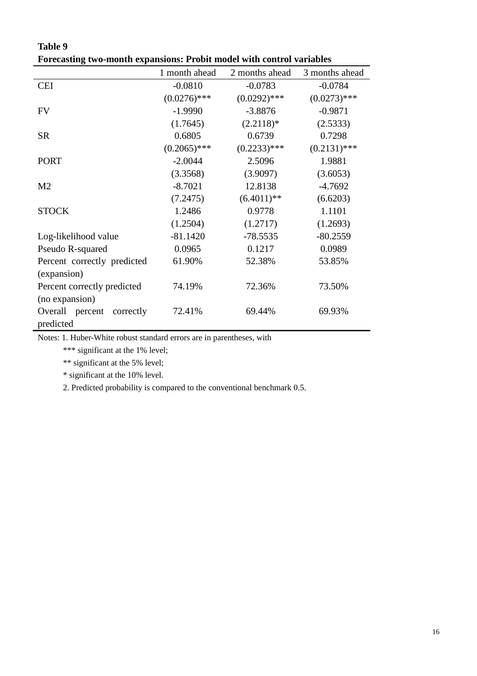| гогсаянід гмо-шониг сараняоня. І голі шойсі міні сонігог тагіаліся |                |                |                |
|--------------------------------------------------------------------|----------------|----------------|----------------|
|                                                                    | 1 month ahead  | 2 months ahead | 3 months ahead |
| <b>CEI</b>                                                         | $-0.0810$      | $-0.0783$      | $-0.0784$      |
|                                                                    | $(0.0276)$ *** | $(0.0292)$ *** | $(0.0273)$ *** |
| <b>FV</b>                                                          | $-1.9990$      | $-3.8876$      | $-0.9871$      |
|                                                                    | (1.7645)       | $(2.2118)*$    | (2.5333)       |
| <b>SR</b>                                                          | 0.6805         | 0.6739         | 0.7298         |
|                                                                    | $(0.2065)$ *** | $(0.2233)$ *** | $(0.2131)$ *** |
| <b>PORT</b>                                                        | $-2.0044$      | 2.5096         | 1.9881         |
|                                                                    | (3.3568)       | (3.9097)       | (3.6053)       |
| M <sub>2</sub>                                                     | $-8.7021$      | 12.8138        | $-4.7692$      |
|                                                                    | (7.2475)       | $(6.4011)$ **  | (6.6203)       |
| <b>STOCK</b>                                                       | 1.2486         | 0.9778         | 1.1101         |
|                                                                    | (1.2504)       | (1.2717)       | (1.2693)       |
| Log-likelihood value                                               | $-81.1420$     | $-78.5535$     | $-80.2559$     |
| Pseudo R-squared                                                   | 0.0965         | 0.1217         | 0.0989         |
| Percent correctly predicted                                        | 61.90%         | 52.38%         | 53.85%         |
| (expansion)                                                        |                |                |                |
| Percent correctly predicted                                        | 74.19%         | 72.36%         | 73.50%         |
| (no expansion)                                                     |                |                |                |
| Overall percent correctly<br>predicted                             | 72.41%         | 69.44%         | 69.93%         |

**Table 9 Forecasting two-month expansions: Probit model with control variables** 

Notes: 1. Huber-White robust standard errors are in parentheses, with

\*\*\* significant at the 1% level;

\*\* significant at the 5% level;

\* significant at the 10% level.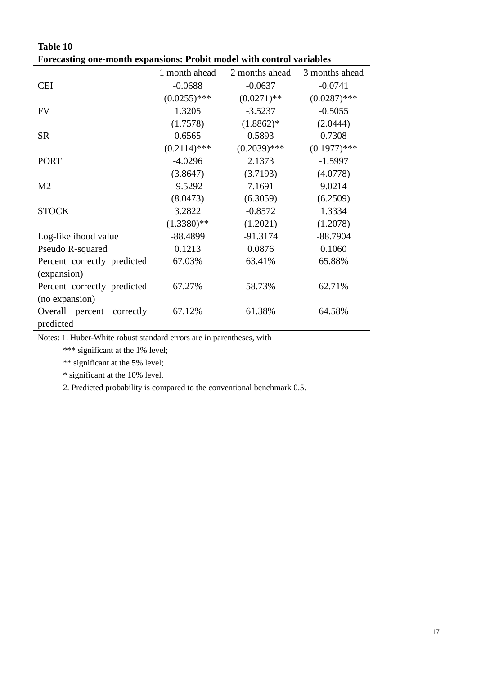| т огссаятца оне-толин ехраняоня, ттооле толи мин сони от уатавлея |                |                |                |
|-------------------------------------------------------------------|----------------|----------------|----------------|
|                                                                   | 1 month ahead  | 2 months ahead | 3 months ahead |
| <b>CEI</b>                                                        | $-0.0688$      | $-0.0637$      | $-0.0741$      |
|                                                                   | $(0.0255)$ *** | $(0.0271)$ **  | $(0.0287)$ *** |
| <b>FV</b>                                                         | 1.3205         | $-3.5237$      | $-0.5055$      |
|                                                                   | (1.7578)       | $(1.8862)*$    | (2.0444)       |
| <b>SR</b>                                                         | 0.6565         | 0.5893         | 0.7308         |
|                                                                   | $(0.2114)$ *** | $(0.2039)$ *** | $(0.1977)$ *** |
| <b>PORT</b>                                                       | $-4.0296$      | 2.1373         | $-1.5997$      |
|                                                                   | (3.8647)       | (3.7193)       | (4.0778)       |
| M <sub>2</sub>                                                    | $-9.5292$      | 7.1691         | 9.0214         |
|                                                                   | (8.0473)       | (6.3059)       | (6.2509)       |
| <b>STOCK</b>                                                      | 3.2822         | $-0.8572$      | 1.3334         |
|                                                                   | $(1.3380)$ **  | (1.2021)       | (1.2078)       |
| Log-likelihood value                                              | $-88.4899$     | $-91.3174$     | $-88.7904$     |
| Pseudo R-squared                                                  | 0.1213         | 0.0876         | 0.1060         |
| Percent correctly predicted                                       | 67.03%         | 63.41%         | 65.88%         |
| (expansion)                                                       |                |                |                |
| Percent correctly predicted                                       | 67.27%         | 58.73%         | 62.71%         |
| (no expansion)                                                    |                |                |                |
| Overall percent<br>correctly                                      | 67.12%         | 61.38%         | 64.58%         |
| predicted                                                         |                |                |                |

**Table 10 Forecasting one-month expansions: Probit model with control variables** 

Notes: 1. Huber-White robust standard errors are in parentheses, with

\*\*\* significant at the 1% level;

\*\* significant at the 5% level;

\* significant at the 10% level.